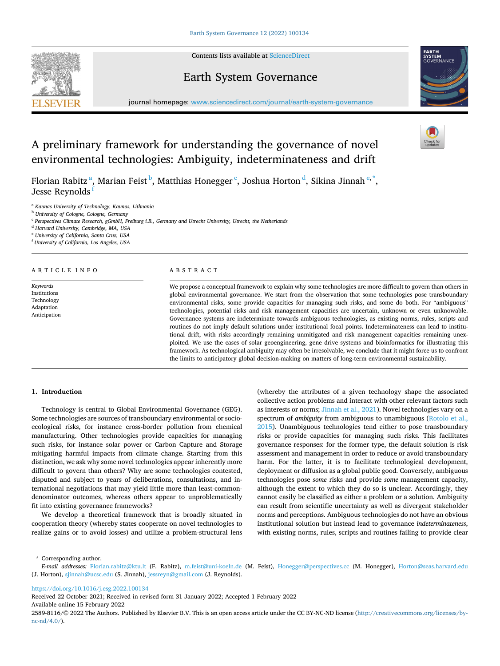Contents lists available at [ScienceDirect](www.sciencedirect.com/science/journal/25898116)







journal homepage: [www.sciencedirect.com/journal/earth-system-governance](https://www.sciencedirect.com/journal/earth-system-governance)

# A preliminary framework for understanding the governance of novel environmental technologies: Ambiguity, indeterminateness and drift

Florian Rabitz $^{\rm a}$ , Marian Feist $^{\rm b}$ , Matthias Honegger $^{\rm c}$ , Joshua Horton $^{\rm d}$ , Sikina Jinnah $^{\rm e, *},$ Jesse Reynolds<sup>1</sup>

<sup>a</sup> *Kaunas University of Technology, Kaunas, Lithuania* 

<sup>b</sup> *University of Cologne, Cologne, Germany* 

<sup>c</sup> *Perspectives Climate Research, gGmbH, Freiburg i.B., Germany and Utrecht University, Utrecht, the Netherlands* 

<sup>d</sup> *Harvard University, Cambridge, MA, USA* 

<sup>e</sup> *University of California, Santa Cruz, USA* 

<sup>f</sup> *University of California, Los Angeles, USA* 

ARTICLE INFO

*Keywords*  Institutions Technology Adaptation Anticipation

## ABSTRACT

We propose a conceptual framework to explain why some technologies are more difficult to govern than others in global environmental governance. We start from the observation that some technologies pose transboundary environmental risks, some provide capacities for managing such risks, and some do both. For "ambiguous" technologies, potential risks and risk management capacities are uncertain, unknown or even unknowable. Governance systems are indeterminate towards ambiguous technologies, as existing norms, rules, scripts and routines do not imply default solutions under institutional focal points. Indeterminateness can lead to institutional drift, with risks accordingly remaining unmitigated and risk management capacities remaining unexploited. We use the cases of solar geoengineering, gene drive systems and bioinformatics for illustrating this framework. As technological ambiguity may often be irresolvable, we conclude that it might force us to confront the limits to anticipatory global decision-making on matters of long-term environmental sustainability.

# **1. Introduction**

Technology is central to Global Environmental Governance (GEG). Some technologies are sources of transboundary environmental or socioecological risks, for instance cross-border pollution from chemical manufacturing. Other technologies provide capacities for managing such risks, for instance solar power or Carbon Capture and Storage mitigating harmful impacts from climate change. Starting from this distinction, we ask why some novel technologies appear inherently more difficult to govern than others? Why are some technologies contested, disputed and subject to years of deliberations, consultations, and international negotiations that may yield little more than least-commondenominator outcomes, whereas others appear to unproblematically fit into existing governance frameworks?

We develop a theoretical framework that is broadly situated in cooperation theory (whereby states cooperate on novel technologies to realize gains or to avoid losses) and utilize a problem-structural lens (whereby the attributes of a given technology shape the associated collective action problems and interact with other relevant factors such as interests or norms; [Jinnah et al., 2021\)](#page-3-0). Novel technologies vary on a spectrum of *ambiguity* from ambiguous to unambiguous [\(Rotolo et al.,](#page-4-0)  [2015\)](#page-4-0). Unambiguous technologies tend either to pose transboundary risks or provide capacities for managing such risks. This facilitates governance responses: for the former type, the default solution is risk assessment and management in order to reduce or avoid transboundary harm. For the latter, it is to facilitate technological development, deployment or diffusion as a global public good. Conversely, ambiguous technologies pose *some* risks and provide *some* management capacity, although the extent to which they do so is unclear. Accordingly, they cannot easily be classified as either a problem or a solution. Ambiguity can result from scientific uncertainty as well as divergent stakeholder norms and perceptions. Ambiguous technologies do not have an obvious institutional solution but instead lead to governance *indeterminateness*, with existing norms, rules, scripts and routines failing to provide clear

\* Corresponding author.

<https://doi.org/10.1016/j.esg.2022.100134>

Received 22 October 2021; Received in revised form 31 January 2022; Accepted 1 February 2022

Available online 15 February 2022



*E-mail addresses:* [Florian.rabitz@ktu.lt](mailto:Florian.rabitz@ktu.lt) (F. Rabitz), [m.feist@uni-koeln.de](mailto:m.feist@uni-koeln.de) (M. Feist), [Honegger@perspectives.cc](mailto:Honegger@perspectives.cc) (M. Honegger), [Horton@seas.harvard.edu](mailto:Horton@seas.harvard.edu)  (J. Horton), [sjinnah@ucsc.edu](mailto:sjinnah@ucsc.edu) (S. Jinnah), [jessreyn@gmail.com](mailto:jessreyn@gmail.com) (J. Reynolds).

<sup>2589-8116/© 2022</sup> The Authors. Published by Elsevier B.V. This is an open access article under the CC BY-NC-ND license([http://creativecommons.org/licenses/by](http://creativecommons.org/licenses/by-nc-nd/4.0/)[nc-nd/4.0/](http://creativecommons.org/licenses/by-nc-nd/4.0/)).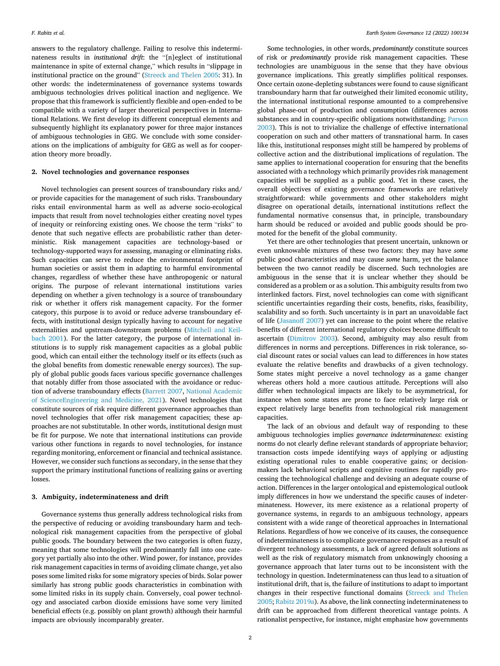answers to the regulatory challenge. Failing to resolve this indeterminateness results in *institutional drift*: the "[n]eglect of institutional maintenance in spite of external change," which results in "slippage in institutional practice on the ground" [\(Streeck and Thelen 2005](#page-4-0): 31). In other words: the indeterminateness of governance systems towards ambiguous technologies drives political inaction and negligence. We propose that this framework is sufficiently flexible and open-ended to be compatible with a variety of larger theoretical perspectives in International Relations. We first develop its different conceptual elements and subsequently highlight its explanatory power for three major instances of ambiguous technologies in GEG. We conclude with some considerations on the implications of ambiguity for GEG as well as for cooperation theory more broadly.

#### **2. Novel technologies and governance responses**

Novel technologies can present sources of transboundary risks and/ or provide capacities for the management of such risks. Transboundary risks entail environmental harm as well as adverse socio-ecological impacts that result from novel technologies either creating novel types of inequity or reinforcing existing ones. We choose the term "risks" to denote that such negative effects are probabilistic rather than deterministic. Risk management capacities are technology-based or technology-supported ways for assessing, managing or eliminating risks. Such capacities can serve to reduce the environmental footprint of human societies or assist them in adapting to harmful environmental changes, regardless of whether these have anthropogenic or natural origins. The purpose of relevant international institutions varies depending on whether a given technology is a source of transboundary risk or whether it offers risk management capacity. For the former category, this purpose is to avoid or reduce adverse transboundary effects, with institutional design typically having to account for negative externalities and upstream-downstream problems ([Mitchell and Keil](#page-3-0)[bach 2001\)](#page-3-0). For the latter category, the purpose of international institutions is to supply risk management capacities as a global public good, which can entail either the technology itself or its effects (such as the global benefits from domestic renewable energy sources). The supply of global public goods faces various specific governance challenges that notably differ from those associated with the avoidance or reduction of adverse transboundary effects ([Barrett 2007,](#page-3-0) [National Academic](#page-4-0)  [of ScienceEngineering and Medicine, 2021\)](#page-4-0). Novel technologies that constitute sources of risk require different governance approaches than novel technologies that offer risk management capacities; these approaches are not substitutable. In other words, institutional design must be fit for purpose. We note that international institutions can provide various other functions in regards to novel technologies, for instance regarding monitoring, enforcement or financial and technical assistance. However, we consider such functions as secondary, in the sense that they support the primary institutional functions of realizing gains or averting losses.

# **3. Ambiguity, indeterminateness and drift**

Governance systems thus generally address technological risks from the perspective of reducing or avoiding transboundary harm and technological risk management capacities from the perspective of global public goods. The boundary between the two categories is often fuzzy, meaning that some technologies will predominantly fall into one category yet partially also into the other. Wind power, for instance, provides risk management capacities in terms of avoiding climate change, yet also poses some limited risks for some migratory species of birds. Solar power similarly has strong public goods characteristics in combination with some limited risks in its supply chain. Conversely, coal power technology and associated carbon dioxide emissions have some very limited beneficial effects (e.g. possibly on plant growth) although their harmful impacts are obviously incomparably greater.

Some technologies, in other words, *predominantly* constitute sources of risk or *predominantly* provide risk management capacities. These technologies are unambiguous in the sense that they have obvious governance implications. This greatly simplifies political responses. Once certain ozone-depleting substances were found to cause significant transboundary harm that far outweighed their limited economic utility, the international institutional response amounted to a comprehensive global phase-out of production and consumption (differences across substances and in country-specific obligations notwithstanding; [Parson](#page-4-0)  [2003\)](#page-4-0). This is not to trivialize the challenge of effective international cooperation on such and other matters of transnational harm. In cases like this, institutional responses might still be hampered by problems of collective action and the distributional implications of regulation. The same applies to international cooperation for ensuring that the benefits associated with a technology which primarily provides risk management capacities will be supplied as a public good. Yet in these cases, the overall objectives of existing governance frameworks are relatively straightforward: while governments and other stakeholders might disagree on operational details, international institutions reflect the fundamental normative consensus that, in principle, transboundary harm should be reduced or avoided and public goods should be promoted for the benefit of the global community.

Yet there are other technologies that present uncertain, unknown or even unknowable mixtures of these two factors: they may have *some*  public good characteristics and may cause *some* harm, yet the balance between the two cannot readily be discerned. Such technologies are ambiguous in the sense that it is unclear whether they should be considered as a problem or as a solution. This ambiguity results from two interlinked factors. First, novel technologies can come with significant scientific uncertainties regarding their costs, benefits, risks, feasibility, scalability and so forth. Such uncertainty is in part an unavoidable fact of life [\(Jasanoff 2007\)](#page-3-0) yet can increase to the point where the relative benefits of different international regulatory choices become difficult to ascertain [\(Dimitrov 2003\)](#page-3-0). Second, ambiguity may also result from differences in norms and perceptions. Differences in risk tolerance, social discount rates or social values can lead to differences in how states evaluate the relative benefits and drawbacks of a given technology. Some states might perceive a novel technology as a game changer whereas others hold a more cautious attitude. Perceptions will also differ when technological impacts are likely to be asymmetrical, for instance when some states are prone to face relatively large risk or expect relatively large benefits from technological risk management capacities.

The lack of an obvious and default way of responding to these ambiguous technologies implies *governance indeterminateness*: existing norms do not clearly define relevant standards of appropriate behavior; transaction costs impede identifying ways of applying or adjusting existing operational rules to enable cooperative gains; or decisionmakers lack behavioral scripts and cognitive routines for rapidly processing the technological challenge and devising an adequate course of action. Differences in the larger ontological and epistemological outlook imply differences in how we understand the specific causes of indeterminateness. However, its mere existence as a relational property of governance systems, in regards to an ambiguous technology, appears consistent with a wide range of theoretical approaches in International Relations. Regardless of how we conceive of its causes, the consequence of indeterminateness is to complicate governance responses as a result of divergent technology assessments, a lack of agreed default solutions as well as the risk of regulatory mismatch from unknowingly choosing a governance approach that later turns out to be inconsistent with the technology in question. Indeterminateness can thus lead to a situation of institutional drift, that is, the failure of institutions to adapt to important changes in their respective functional domains ([Streeck and Thelen](#page-4-0)  [2005; Rabitz 2019a\)](#page-4-0). As above, the link connecting indeterminateness to drift can be approached from different theoretical vantage points. A rationalist perspective, for instance, might emphasize how governments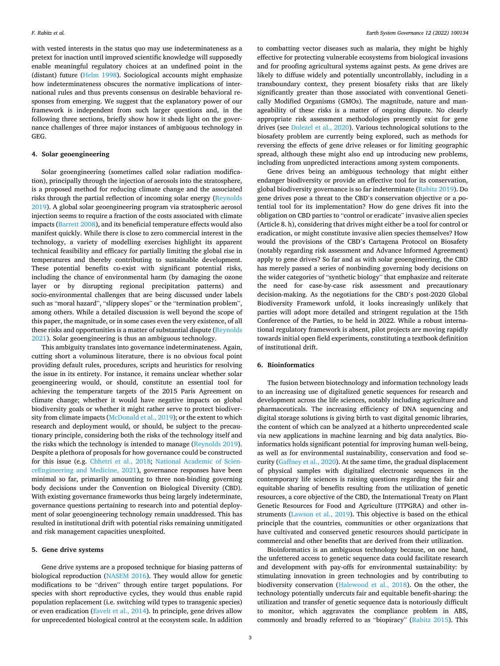with vested interests in the status quo may use indeterminateness as a pretext for inaction until improved scientific knowledge will supposedly enable meaningful regulatory choices at an undefined point in the (distant) future ([Helm 1998](#page-3-0)). Sociological accounts might emphasize how indeterminateness obscures the normative implications of international rules and thus prevents consensus on desirable behavioral responses from emerging. We suggest that the explanatory power of our framework is independent from such larger questions and, in the following three sections, briefly show how it sheds light on the governance challenges of three major instances of ambiguous technology in GEG.

## **4. Solar geoengineering**

Solar geoengineering (sometimes called solar radiation modification), principally through the injection of aerosols into the stratosphere, is a proposed method for reducing climate change and the associated risks through the partial reflection of incoming solar energy [\(Reynolds](#page-4-0)  [2019\)](#page-4-0). A global solar geoengineering program via stratospheric aerosol injection seems to require a fraction of the costs associated with climate impacts ([Barrett 2008\)](#page-3-0), and its beneficial temperature effects would also manifest quickly. While there is close to zero commercial interest in the technology, a variety of modelling exercises highlight its apparent technical feasibility and efficacy for partially limiting the global rise in temperatures and thereby contributing to sustainable development. These potential benefits co-exist with significant potential risks, including the chance of environmental harm (by damaging the ozone layer or by disrupting regional precipitation patterns) and socio-environmental challenges that are being discussed under labels such as "moral hazard", "slippery slopes" or the "termination problem", among others. While a detailed discussion is well beyond the scope of this paper, the magnitude, or in some cases even the very existence, of all these risks and opportunities is a matter of substantial dispute [\(Reynolds](#page-4-0)  [2021\)](#page-4-0). Solar geoengineering is thus an ambiguous technology.

This ambiguity translates into governance indeterminateness. Again, cutting short a voluminous literature, there is no obvious focal point providing default rules, procedures, scripts and heuristics for resolving the issue in its entirety. For instance, it remains unclear whether solar geoengineering would, or should, constitute an essential tool for achieving the temperature targets of the 2015 Paris Agreement on climate change; whether it would have negative impacts on global biodiversity goals or whether it might rather serve to protect biodiversity from climate impacts ([McDonald et al., 2019](#page-3-0)); or the extent to which research and deployment would, or should, be subject to the precautionary principle, considering both the risks of the technology itself and the risks which the technology is intended to manage [\(Reynolds 2019](#page-4-0)). Despite a plethora of proposals for how governance could be constructed for this issue (e.g. [Chhetri et al., 2018;](#page-3-0) [National Academic of Scien](#page-4-0)[ceEngineering and Medicine, 2021\)](#page-4-0), governance responses have been minimal so far, primarily amounting to three non-binding governing body decisions under the Convention on Biological Diversity (CBD). With existing governance frameworks thus being largely indeterminate, governance questions pertaining to research into and potential deployment of solar geoengineering technology remain unaddressed. This has resulted in institutional drift with potential risks remaining unmitigated and risk management capacities unexploited.

#### **5. Gene drive systems**

Gene drive systems are a proposed technique for biasing patterns of biological reproduction ([NASEM 2016\)](#page-3-0). They would allow for genetic modifications to be "driven" through entire target populations. For species with short reproductive cycles, they would thus enable rapid population replacement (i.e. switching wild types to transgenic species) or even eradication [\(Esvelt et al., 2014](#page-3-0)). In principle, gene drives allow for unprecedented biological control at the ecosystem scale. In addition

to combatting vector diseases such as malaria, they might be highly effective for protecting vulnerable ecosystems from biological invasions and for proofing agricultural systems against pests. As gene drives are likely to diffuse widely and potentially uncontrollably, including in a transboundary context, they present biosafety risks that are likely significantly greater than those associated with conventional Genetically Modified Organisms (GMOs). The magnitude, nature and manageability of these risks is a matter of ongoing dispute. No clearly appropriate risk assessment methodologies presently exist for gene drives (see [Dolezel et al., 2020\)](#page-3-0). Various technological solutions to the biosafety problem are currently being explored, such as methods for reversing the effects of gene drive releases or for limiting geographic spread, although these might also end up introducing new problems, including from unpredicted interactions among system components.

Gene drives being an ambiguous technology that might either endanger biodiversity or provide an effective tool for its conservation, global biodiversity governance is so far indeterminate ([Rabitz 2019\)](#page-4-0). Do gene drives pose a threat to the CBD's conservation objective or a potential tool for its implementation? How do gene drives fit into the obligation on CBD parties to "control or eradicate" invasive alien species (Article 8. h), considering that drives might either be a tool for control or eradication, or might constitute invasive alien species themselves? How would the provisions of the CBD's Cartagena Protocol on Biosafety (notably regarding risk assessment and Advance Informed Agreement) apply to gene drives? So far and as with solar geoengineering, the CBD has merely passed a series of nonbinding governing body decisions on the wider categories of "synthetic biology" that emphasize and reiterate the need for case-by-case risk assessment and precautionary decision-making. As the negotiations for the CBD's post-2020 Global Biodiversity Framework unfold, it looks increasingly unlikely that parties will adopt more detailed and stringent regulation at the 15th Conference of the Parties, to be held in 2022. While a robust international regulatory framework is absent, pilot projects are moving rapidly towards initial open field experiments, constituting a textbook definition of institutional drift.

# **6. Bioinformatics**

The fusion between biotechnology and information technology leads to an increasing use of digitalized genetic sequences for research and development across the life sciences, notably including agriculture and pharmaceuticals. The increasing efficiency of DNA sequencing and digital storage solutions is giving birth to vast digital genomic libraries, the content of which can be analyzed at a hitherto unprecedented scale via new applications in machine learning and big data analytics. Bioinformatics holds significant potential for improving human well-being, as well as for environmental sustainability, conservation and food security [\(Gaffney et al., 2020](#page-3-0)). At the same time, the gradual displacement of physical samples with digitalized electronic sequences in the contemporary life sciences is raising questions regarding the fair and equitable sharing of benefits resulting from the utilization of genetic resources, a core objective of the CBD, the International Treaty on Plant Genetic Resources for Food and Agriculture (ITPGRA) and other instruments ([Lawson et al., 2019](#page-3-0)). This objective is based on the ethical principle that the countries, communities or other organizations that have cultivated and conserved genetic resources should participate in commercial and other benefits that are derived from their utilization.

Bioinformatics is an ambiguous technology because, on one hand, the unfettered access to genetic sequence data could facilitate research and development with pay-offs for environmental sustainability: by stimulating innovation in green technologies and by contributing to biodiversity conservation [\(Halewood et al., 2018\)](#page-3-0). On the other, the technology potentially undercuts fair and equitable benefit-sharing: the utilization and transfer of genetic sequence data is notoriously difficult to monitor, which aggravates the compliance problem in ABS, commonly and broadly referred to as "biopiracy" ([Rabitz 2015](#page-4-0)). This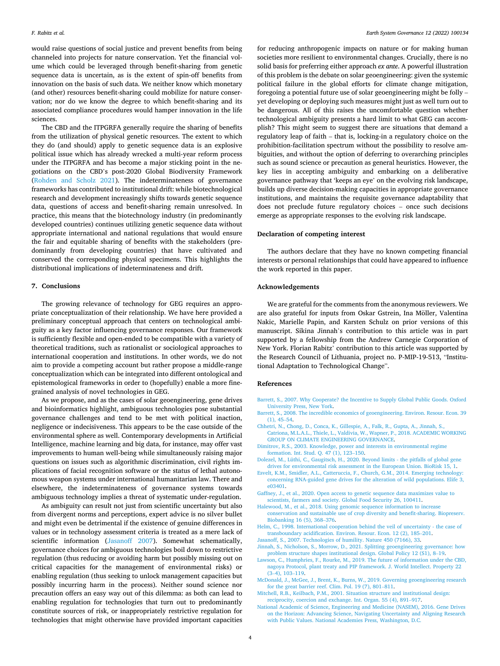<span id="page-3-0"></span>would raise questions of social justice and prevent benefits from being channeled into projects for nature conservation. Yet the financial volume which could be leveraged through benefit-sharing from genetic sequence data is uncertain, as is the extent of spin-off benefits from innovation on the basis of such data. We neither know which monetary (and other) resources benefit-sharing could mobilize for nature conservation; nor do we know the degree to which benefit-sharing and its associated compliance procedures would hamper innovation in the life sciences.

The CBD and the ITPGRFA generally require the sharing of benefits from the utilization of physical genetic resources. The extent to which they do (and should) apply to genetic sequence data is an explosive political issue which has already wrecked a multi-year reform process under the ITPGRFA and has become a major sticking point in the negotiations on the CBD's post-2020 Global Biodiversity Framework ([Rohden and Scholz 2021](#page-4-0)). The indeterminateness of governance frameworks has contributed to institutional drift: while biotechnological research and development increasingly shifts towards genetic sequence data, questions of access and benefit-sharing remain unresolved. In practice, this means that the biotechnology industry (in predominantly developed countries) continues utilizing genetic sequence data without appropriate international and national regulations that would ensure the fair and equitable sharing of benefits with the stakeholders (predominantly from developing countries) that have cultivated and conserved the corresponding physical specimens. This highlights the distributional implications of indeterminateness and drift.

#### **7. Conclusions**

The growing relevance of technology for GEG requires an appropriate conceptualization of their relationship. We have here provided a preliminary conceptual approach that centers on technological ambiguity as a key factor influencing governance responses. Our framework is sufficiently flexible and open-ended to be compatible with a variety of theoretical traditions, such as rationalist or sociological approaches to international cooperation and institutions. In other words, we do not aim to provide a competing account but rather propose a middle-range conceptualization which can be integrated into different ontological and epistemological frameworks in order to (hopefully) enable a more finegrained analysis of novel technologies in GEG.

As we propose, and as the cases of solar geoengineering, gene drives and bioinformatics highlight, ambiguous technologies pose substantial governance challenges and tend to be met with political inaction, negligence or indecisiveness. This appears to be the case outside of the environmental sphere as well. Contemporary developments in Artificial Intelligence, machine learning and big data, for instance, may offer vast improvements to human well-being while simultaneously raising major questions on issues such as algorithmic discrimination, civil rights implications of facial recognition software or the status of lethal autonomous weapon systems under international humanitarian law. There and elsewhere, the indeterminateness of governance systems towards ambiguous technology implies a threat of systematic under-regulation.

As ambiguity can result not just from scientific uncertainty but also from divergent norms and perceptions, expert advice is no silver bullet and might even be detrimental if the existence of genuine differences in values or in technology assessment criteria is treated as a mere lack of scientific information (Jasanoff 2007). Somewhat schematically, governance choices for ambiguous technologies boil down to restrictive regulation (thus reducing or avoiding harm but possibly missing out on critical capacities for the management of environmental risks) or enabling regulation (thus seeking to unlock management capacities but possibly incurring harm in the process). Neither sound science nor precaution offers an easy way out of this dilemma: as both can lead to enabling regulation for technologies that turn out to predominantly constitute sources of risk, or inappropriately restrictive regulation for technologies that might otherwise have provided important capacities for reducing anthropogenic impacts on nature or for making human societies more resilient to environmental changes. Crucially, there is no solid basis for preferring either approach *ex ante*. A powerful illustration of this problem is the debate on solar geoengineering: given the systemic political failure in the global efforts for climate change mitigation, foregoing a potential future use of solar geoengineering might be folly – yet developing or deploying such measures might just as well turn out to be dangerous. All of this raises the uncomfortable question whether technological ambiguity presents a hard limit to what GEG can accomplish? This might seem to suggest there are situations that demand a regulatory leap of faith – that is, locking-in a regulatory choice on the prohibition-facilitation spectrum without the possibility to resolve ambiguities, and without the option of deferring to overarching principles such as sound science or precaution as general heuristics. However, the key lies in accepting ambiguity and embarking on a deliberative governance pathway that 'keeps an eye' on the evolving risk landscape, builds up diverse decision-making capacities in appropriate governance institutions, and maintains the requisite governance adaptability that does not preclude future regulatory choices – once such decisions emerge as appropriate responses to the evolving risk landscape.

#### **Declaration of competing interest**

The authors declare that they have no known competing financial interests or personal relationships that could have appeared to influence the work reported in this paper.

### **Acknowledgements**

We are grateful for the comments from the anonymous reviewers. We are also grateful for inputs from Oskar Gstrein, Ina Möller, Valentina Nakic, Marielle Papin, and Karsten Schulz on prior versions of this manuscript. Sikina Jinnah's contribution to this article was in part supported by a fellowship from the Andrew Carnegie Corporation of New York. Florian Rabitz' contribution to this article was supported by the Research Council of Lithuania, project no. P-MIP-19-513, "Institutional Adaptation to Technological Change".

#### **References**

- [Barrett, S., 2007. Why Cooperate? the Incentive to Supply Global Public Goods. Oxford](http://refhub.elsevier.com/S2589-8116(22)00003-9/sref1)  [University Press, New York](http://refhub.elsevier.com/S2589-8116(22)00003-9/sref1).
- [Barrett, S., 2008. The incredible economics of geoengineering. Environ. Resour. Econ. 39](http://refhub.elsevier.com/S2589-8116(22)00003-9/sref2)  [\(1\), 45](http://refhub.elsevier.com/S2589-8116(22)00003-9/sref2)–54.
- [Chhetri, N., Chong, D., Conca, K., Gillespie, A., Falk, R., Gupta, A., Jinnah, S.,](http://refhub.elsevier.com/S2589-8116(22)00003-9/sref3)
- [Catriona, M.L.A.L., Thiele, L., Valdivia, W., Wapner, P., 2018. ACADEMIC WORKING](http://refhub.elsevier.com/S2589-8116(22)00003-9/sref3)  [GROUP ON CLIMATE ENGINEERING GOVERNANCE](http://refhub.elsevier.com/S2589-8116(22)00003-9/sref3).
- [Dimitrov, R.S., 2003. Knowledge, power and interests in environmental regime](http://refhub.elsevier.com/S2589-8116(22)00003-9/sref4)  [formation. Int. Stud. Q. 47 \(1\), 123](http://refhub.elsevier.com/S2589-8116(22)00003-9/sref4)–150.
- [Dolezel, M., Lüthi, C., Gaugitsch, H., 2020. Beyond limits the pitfalls of global gene](http://refhub.elsevier.com/S2589-8116(22)00003-9/sref5)  [drives for environmental risk assessment in the European Union. BioRisk 15, 1](http://refhub.elsevier.com/S2589-8116(22)00003-9/sref5).
- [Esvelt, K.M., Smidler, A.L., Catteruccia, F., Church, G.M., 2014. Emerging technology:](http://refhub.elsevier.com/S2589-8116(22)00003-9/sref6) [concerning RNA-guided gene drives for the alteration of wild populations. Elife 3,](http://refhub.elsevier.com/S2589-8116(22)00003-9/sref6)  [e03401.](http://refhub.elsevier.com/S2589-8116(22)00003-9/sref6)
- [Gaffney, J., et al., 2020. Open access to genetic sequence data maximizes value to](http://refhub.elsevier.com/S2589-8116(22)00003-9/sref7)  [scientists, farmers and society. Global Food Security 26, 100411](http://refhub.elsevier.com/S2589-8116(22)00003-9/sref7).
- [Halewood, M., et al., 2018. Using genomic sequence information to increase](http://refhub.elsevier.com/S2589-8116(22)00003-9/sref8) [conservation and sustainable use of crop diversity and benefit-sharing. Biopreserv.](http://refhub.elsevier.com/S2589-8116(22)00003-9/sref8)  [Biobanking 16 \(5\), 368](http://refhub.elsevier.com/S2589-8116(22)00003-9/sref8)–376.
- [Helm, C., 1998. International cooperation behind the veil of uncertainty the case of](http://refhub.elsevier.com/S2589-8116(22)00003-9/sref9) [transboundary acidification. Environ. Resour. Econ. 12 \(2\), 185](http://refhub.elsevier.com/S2589-8116(22)00003-9/sref9)–201.
- [Jasanoff, S., 2007. Technologies of humility. Nature 450 \(7166\), 33](http://refhub.elsevier.com/S2589-8116(22)00003-9/sref10). [Jinnah, S., Nicholson, S., Morrow, D., 2021. Splitting geoengineering governance: how](http://refhub.elsevier.com/S2589-8116(22)00003-9/sref11) [problem structure shapes institutional design. Global Policy 12 \(S1\), 8](http://refhub.elsevier.com/S2589-8116(22)00003-9/sref11)–19.
- [Lawson, C., Humphries, F., Rourke, M., 2019. The future of information under the CBD,](http://refhub.elsevier.com/S2589-8116(22)00003-9/sref12)  [nagoya Protocol, plant treaty and PIP framework. J. World Intellect. Property 22](http://refhub.elsevier.com/S2589-8116(22)00003-9/sref12)  (3–[4\), 103](http://refhub.elsevier.com/S2589-8116(22)00003-9/sref12)–119.
- [McDonald, J., McGee, J., Brent, K., Burns, W., 2019. Governing geoengineering research](http://refhub.elsevier.com/S2589-8116(22)00003-9/sref13)  [for the great barrier reef. Clim. Pol. 19 \(7\), 801](http://refhub.elsevier.com/S2589-8116(22)00003-9/sref13)–811.
- [Mitchell, R.B., Keilbach, P.M., 2001. Situation structure and institutional design:](http://refhub.elsevier.com/S2589-8116(22)00003-9/sref14) [reciprocity, coercion and exchange. Int. Organ. 55 \(4\), 891](http://refhub.elsevier.com/S2589-8116(22)00003-9/sref14)–917.
- [National Academic of Science, Engineering and Medicine \(NASEM\), 2016. Gene Drives](http://refhub.elsevier.com/S2589-8116(22)00003-9/sref15)  [on the Horizon: Advancing Science, Navigating Uncertainty and Aligning Research](http://refhub.elsevier.com/S2589-8116(22)00003-9/sref15)  [with Public Values. National Academies Press, Washington, D.C.](http://refhub.elsevier.com/S2589-8116(22)00003-9/sref15)